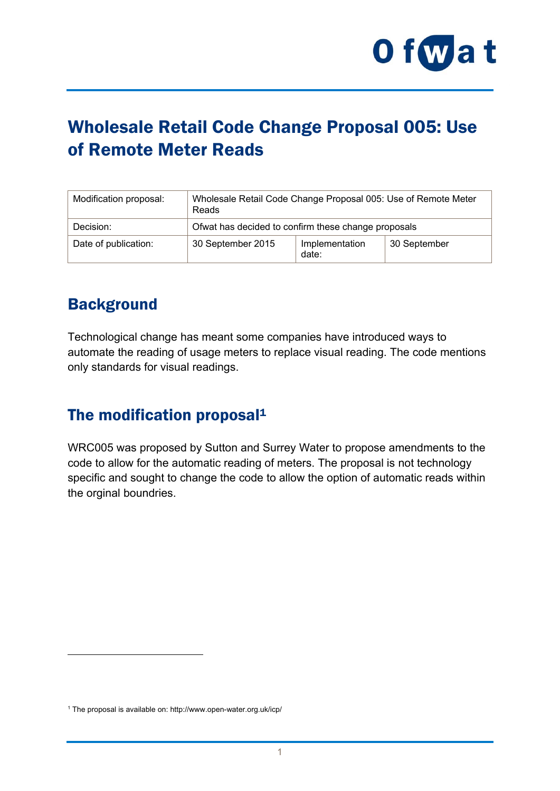

# Wholesale Retail Code Change Proposal 005: Use of Remote Meter Reads

| Modification proposal: | Wholesale Retail Code Change Proposal 005: Use of Remote Meter<br>Reads |                         |              |
|------------------------|-------------------------------------------------------------------------|-------------------------|--------------|
| Decision:              | Ofwat has decided to confirm these change proposals                     |                         |              |
| Date of publication:   | 30 September 2015                                                       | Implementation<br>date: | 30 September |

## **Background**

1

Technological change has meant some companies have introduced ways to automate the reading of usage meters to replace visual reading. The code mentions only standards for visual readings.

### The modification proposal<sup>1</sup>

WRC005 was proposed by Sutton and Surrey Water to propose amendments to the code to allow for the automatic reading of meters. The proposal is not technology specific and sought to change the code to allow the option of automatic reads within the orginal boundries.

<sup>1</sup> The proposal is available on: http://www.open-water.org.uk/icp/